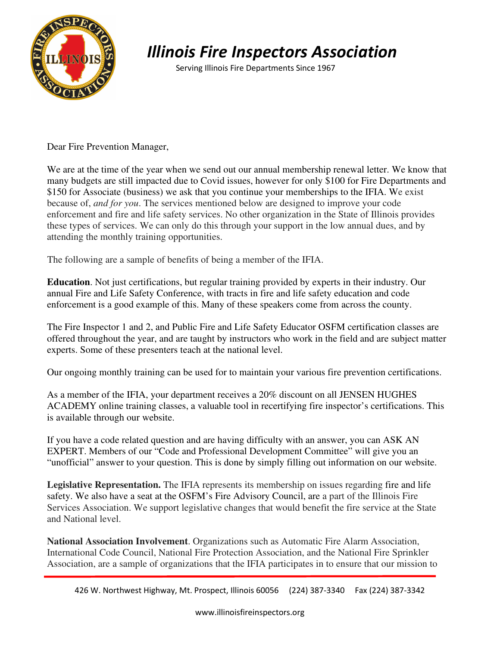

## *Illinois Fire Inspectors Association*

Serving Illinois Fire Departments Since 1967

Dear Fire Prevention Manager,

We are at the time of the year when we send out our annual membership renewal letter. We know that many budgets are still impacted due to Covid issues, however for only \$100 for Fire Departments and \$150 for Associate (business) we ask that you continue your memberships to the IFIA. We exist because of, *and for you*. The services mentioned below are designed to improve your code enforcement and fire and life safety services. No other organization in the State of Illinois provides these types of services. We can only do this through your support in the low annual dues, and by attending the monthly training opportunities.

The following are a sample of benefits of being a member of the IFIA.

**Education**. Not just certifications, but regular training provided by experts in their industry. Our annual Fire and Life Safety Conference, with tracts in fire and life safety education and code enforcement is a good example of this. Many of these speakers come from across the county.

The Fire Inspector 1 and 2, and Public Fire and Life Safety Educator OSFM certification classes are offered throughout the year, and are taught by instructors who work in the field and are subject matter experts. Some of these presenters teach at the national level.

Our ongoing monthly training can be used for to maintain your various fire prevention certifications.

As a member of the IFIA, your department receives a 20% discount on all JENSEN HUGHES ACADEMY online training classes, a valuable tool in recertifying fire inspector's certifications. This is available through our website.

If you have a code related question and are having difficulty with an answer, you can ASK AN EXPERT. Members of our "Code and Professional Development Committee" will give you an "unofficial" answer to your question. This is done by simply filling out information on our website.

**Legislative Representation.** The IFIA represents its membership on issues regarding fire and life safety. We also have a seat at the OSFM's Fire Advisory Council, are a part of the Illinois Fire Services Association. We support legislative changes that would benefit the fire service at the State and National level.

**National Association Involvement**. Organizations such as Automatic Fire Alarm Association, International Code Council, National Fire Protection Association, and the National Fire Sprinkler Association, are a sample of organizations that the IFIA participates in to ensure that our mission to